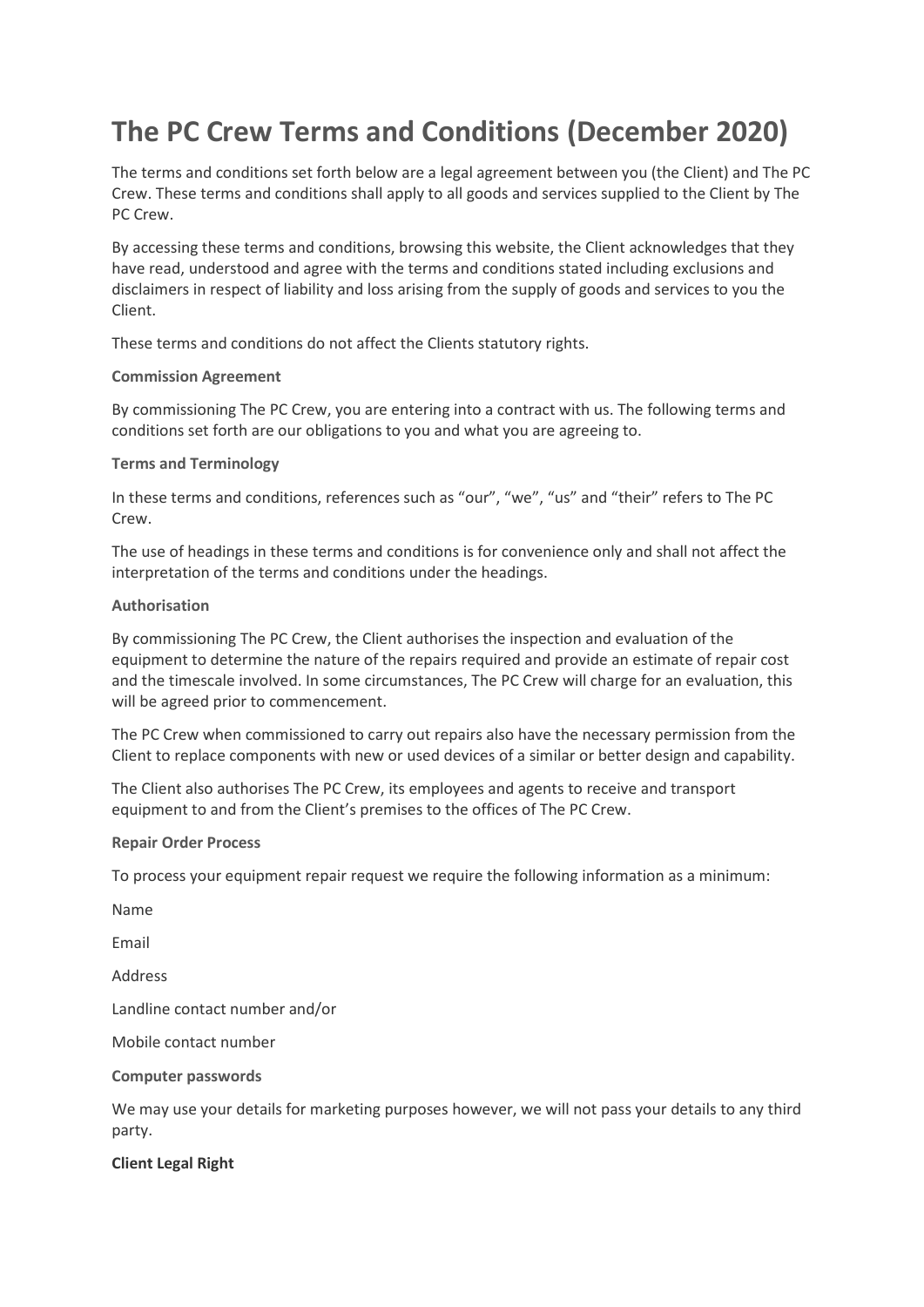# **The PC Crew Terms and Conditions (December 2020)**

The terms and conditions set forth below are a legal agreement between you (the Client) and The PC Crew. These terms and conditions shall apply to all goods and services supplied to the Client by The PC Crew.

By accessing these terms and conditions, browsing this website, the Client acknowledges that they have read, understood and agree with the terms and conditions stated including exclusions and disclaimers in respect of liability and loss arising from the supply of goods and services to you the Client.

These terms and conditions do not affect the Clients statutory rights.

# **Commission Agreement**

By commissioning The PC Crew, you are entering into a contract with us. The following terms and conditions set forth are our obligations to you and what you are agreeing to.

# **Terms and Terminology**

In these terms and conditions, references such as "our", "we", "us" and "their" refers to The PC Crew.

The use of headings in these terms and conditions is for convenience only and shall not affect the interpretation of the terms and conditions under the headings.

# **Authorisation**

By commissioning The PC Crew, the Client authorises the inspection and evaluation of the equipment to determine the nature of the repairs required and provide an estimate of repair cost and the timescale involved. In some circumstances, The PC Crew will charge for an evaluation, this will be agreed prior to commencement.

The PC Crew when commissioned to carry out repairs also have the necessary permission from the Client to replace components with new or used devices of a similar or better design and capability.

The Client also authorises The PC Crew, its employees and agents to receive and transport equipment to and from the Client's premises to the offices of The PC Crew.

# **Repair Order Process**

To process your equipment repair request we require the following information as a minimum:

Name

Email

Address

Landline contact number and/or

Mobile contact number

# **Computer passwords**

We may use your details for marketing purposes however, we will not pass your details to any third party.

# **Client Legal Right**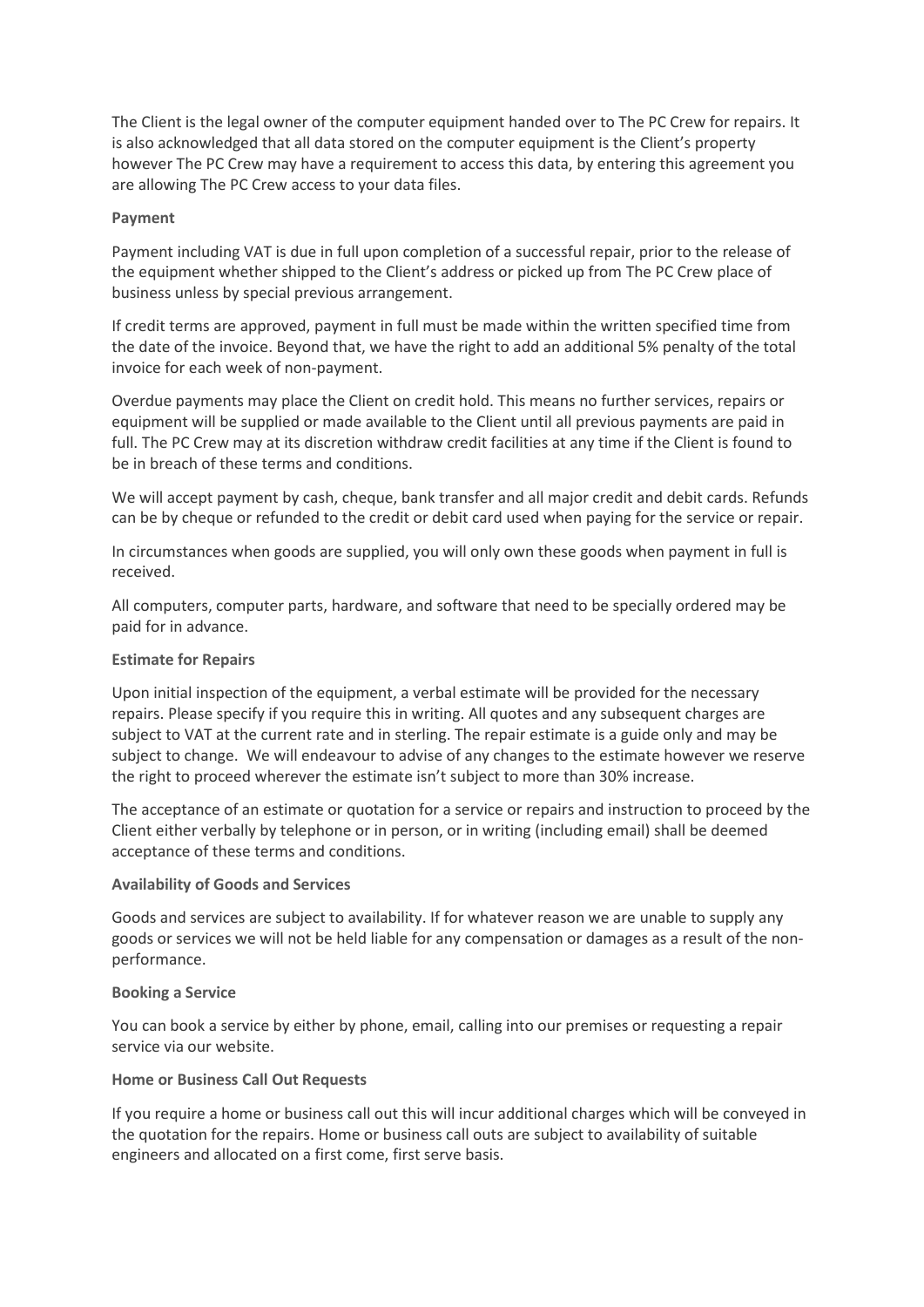The Client is the legal owner of the computer equipment handed over to The PC Crew for repairs. It is also acknowledged that all data stored on the computer equipment is the Client's property however The PC Crew may have a requirement to access this data, by entering this agreement you are allowing The PC Crew access to your data files.

#### **Payment**

Payment including VAT is due in full upon completion of a successful repair, prior to the release of the equipment whether shipped to the Client's address or picked up from The PC Crew place of business unless by special previous arrangement.

If credit terms are approved, payment in full must be made within the written specified time from the date of the invoice. Beyond that, we have the right to add an additional 5% penalty of the total invoice for each week of non-payment.

Overdue payments may place the Client on credit hold. This means no further services, repairs or equipment will be supplied or made available to the Client until all previous payments are paid in full. The PC Crew may at its discretion withdraw credit facilities at any time if the Client is found to be in breach of these terms and conditions.

We will accept payment by cash, cheque, bank transfer and all major credit and debit cards. Refunds can be by cheque or refunded to the credit or debit card used when paying for the service or repair.

In circumstances when goods are supplied, you will only own these goods when payment in full is received.

All computers, computer parts, hardware, and software that need to be specially ordered may be paid for in advance.

## **Estimate for Repairs**

Upon initial inspection of the equipment, a verbal estimate will be provided for the necessary repairs. Please specify if you require this in writing. All quotes and any subsequent charges are subject to VAT at the current rate and in sterling. The repair estimate is a guide only and may be subject to change. We will endeavour to advise of any changes to the estimate however we reserve the right to proceed wherever the estimate isn't subject to more than 30% increase.

The acceptance of an estimate or quotation for a service or repairs and instruction to proceed by the Client either verbally by telephone or in person, or in writing (including email) shall be deemed acceptance of these terms and conditions.

#### **Availability of Goods and Services**

Goods and services are subject to availability. If for whatever reason we are unable to supply any goods or services we will not be held liable for any compensation or damages as a result of the nonperformance.

#### **Booking a Service**

You can book a service by either by phone, email, calling into our premises or requesting a repair service via our website.

#### **Home or Business Call Out Requests**

If you require a home or business call out this will incur additional charges which will be conveyed in the quotation for the repairs. Home or business call outs are subject to availability of suitable engineers and allocated on a first come, first serve basis.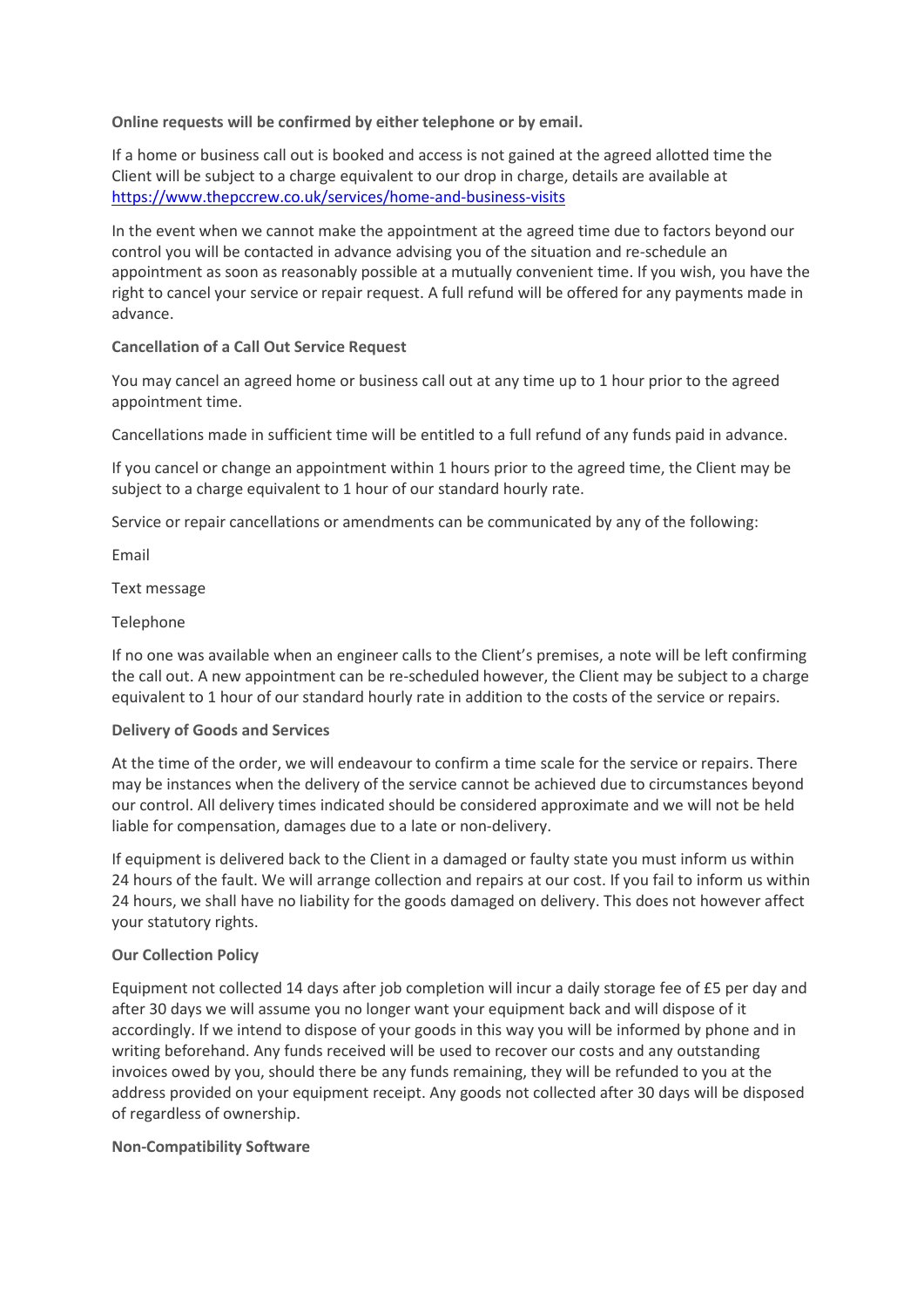**Online requests will be confirmed by either telephone or by email.**

If a home or business call out is booked and access is not gained at the agreed allotted time the Client will be subject to a charge equivalent to our drop in charge, details are available at <https://www.thepccrew.co.uk/services/home-and-business-visits>

In the event when we cannot make the appointment at the agreed time due to factors beyond our control you will be contacted in advance advising you of the situation and re-schedule an appointment as soon as reasonably possible at a mutually convenient time. If you wish, you have the right to cancel your service or repair request. A full refund will be offered for any payments made in advance.

# **Cancellation of a Call Out Service Request**

You may cancel an agreed home or business call out at any time up to 1 hour prior to the agreed appointment time.

Cancellations made in sufficient time will be entitled to a full refund of any funds paid in advance.

If you cancel or change an appointment within 1 hours prior to the agreed time, the Client may be subject to a charge equivalent to 1 hour of our standard hourly rate.

Service or repair cancellations or amendments can be communicated by any of the following:

Email

Text message

# Telephone

If no one was available when an engineer calls to the Client's premises, a note will be left confirming the call out. A new appointment can be re-scheduled however, the Client may be subject to a charge equivalent to 1 hour of our standard hourly rate in addition to the costs of the service or repairs.

# **Delivery of Goods and Services**

At the time of the order, we will endeavour to confirm a time scale for the service or repairs. There may be instances when the delivery of the service cannot be achieved due to circumstances beyond our control. All delivery times indicated should be considered approximate and we will not be held liable for compensation, damages due to a late or non-delivery.

If equipment is delivered back to the Client in a damaged or faulty state you must inform us within 24 hours of the fault. We will arrange collection and repairs at our cost. If you fail to inform us within 24 hours, we shall have no liability for the goods damaged on delivery. This does not however affect your statutory rights.

# **Our Collection Policy**

Equipment not collected 14 days after job completion will incur a daily storage fee of £5 per day and after 30 days we will assume you no longer want your equipment back and will dispose of it accordingly. If we intend to dispose of your goods in this way you will be informed by phone and in writing beforehand. Any funds received will be used to recover our costs and any outstanding invoices owed by you, should there be any funds remaining, they will be refunded to you at the address provided on your equipment receipt. Any goods not collected after 30 days will be disposed of regardless of ownership.

# **Non-Compatibility Software**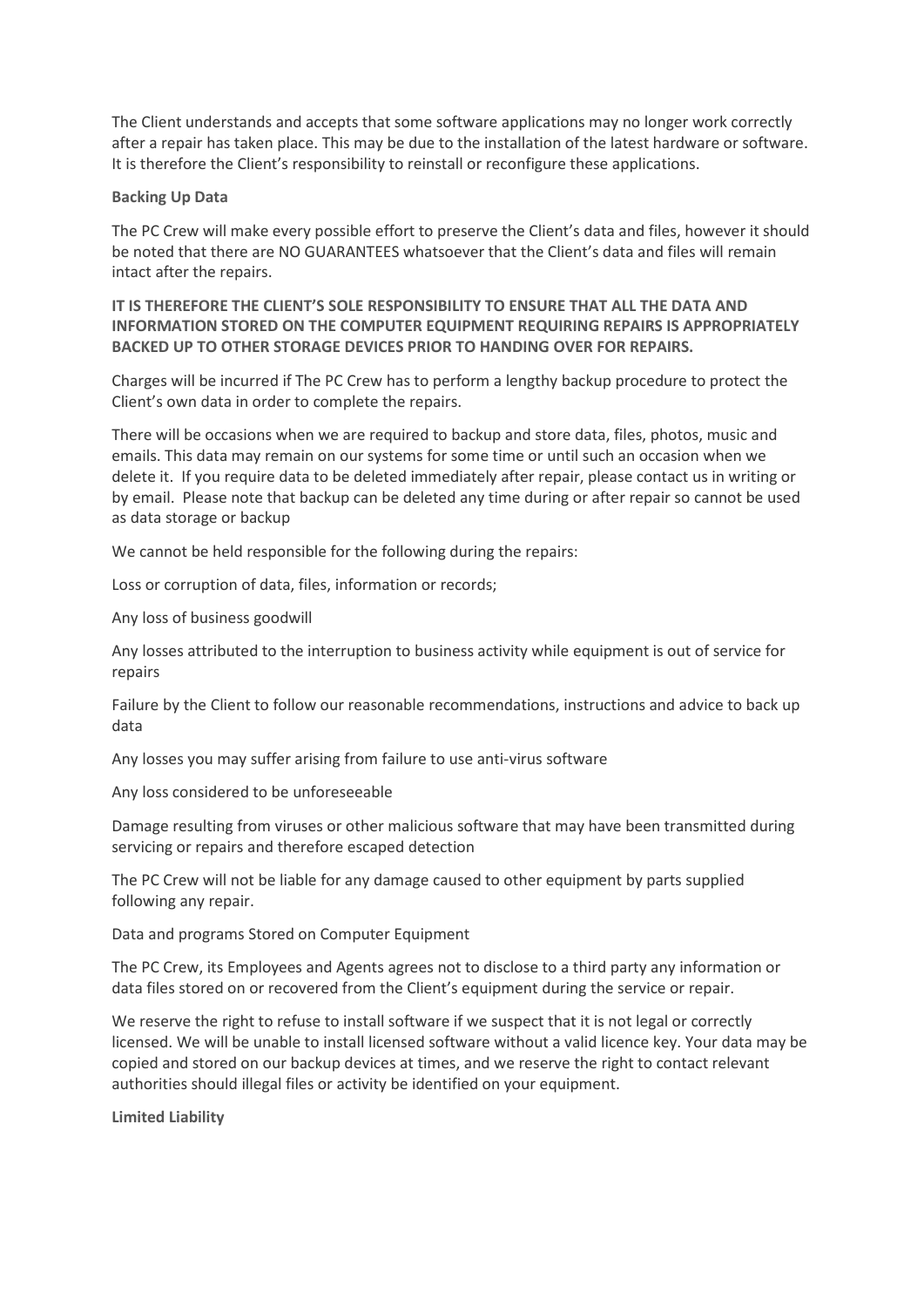The Client understands and accepts that some software applications may no longer work correctly after a repair has taken place. This may be due to the installation of the latest hardware or software. It is therefore the Client's responsibility to reinstall or reconfigure these applications.

#### **Backing Up Data**

The PC Crew will make every possible effort to preserve the Client's data and files, however it should be noted that there are NO GUARANTEES whatsoever that the Client's data and files will remain intact after the repairs.

# **IT IS THEREFORE THE CLIENT'S SOLE RESPONSIBILITY TO ENSURE THAT ALL THE DATA AND INFORMATION STORED ON THE COMPUTER EQUIPMENT REQUIRING REPAIRS IS APPROPRIATELY BACKED UP TO OTHER STORAGE DEVICES PRIOR TO HANDING OVER FOR REPAIRS.**

Charges will be incurred if The PC Crew has to perform a lengthy backup procedure to protect the Client's own data in order to complete the repairs.

There will be occasions when we are required to backup and store data, files, photos, music and emails. This data may remain on our systems for some time or until such an occasion when we delete it. If you require data to be deleted immediately after repair, please contact us in writing or by email. Please note that backup can be deleted any time during or after repair so cannot be used as data storage or backup

We cannot be held responsible for the following during the repairs:

Loss or corruption of data, files, information or records;

Any loss of business goodwill

Any losses attributed to the interruption to business activity while equipment is out of service for repairs

Failure by the Client to follow our reasonable recommendations, instructions and advice to back up data

Any losses you may suffer arising from failure to use anti-virus software

Any loss considered to be unforeseeable

Damage resulting from viruses or other malicious software that may have been transmitted during servicing or repairs and therefore escaped detection

The PC Crew will not be liable for any damage caused to other equipment by parts supplied following any repair.

Data and programs Stored on Computer Equipment

The PC Crew, its Employees and Agents agrees not to disclose to a third party any information or data files stored on or recovered from the Client's equipment during the service or repair.

We reserve the right to refuse to install software if we suspect that it is not legal or correctly licensed. We will be unable to install licensed software without a valid licence key. Your data may be copied and stored on our backup devices at times, and we reserve the right to contact relevant authorities should illegal files or activity be identified on your equipment.

**Limited Liability**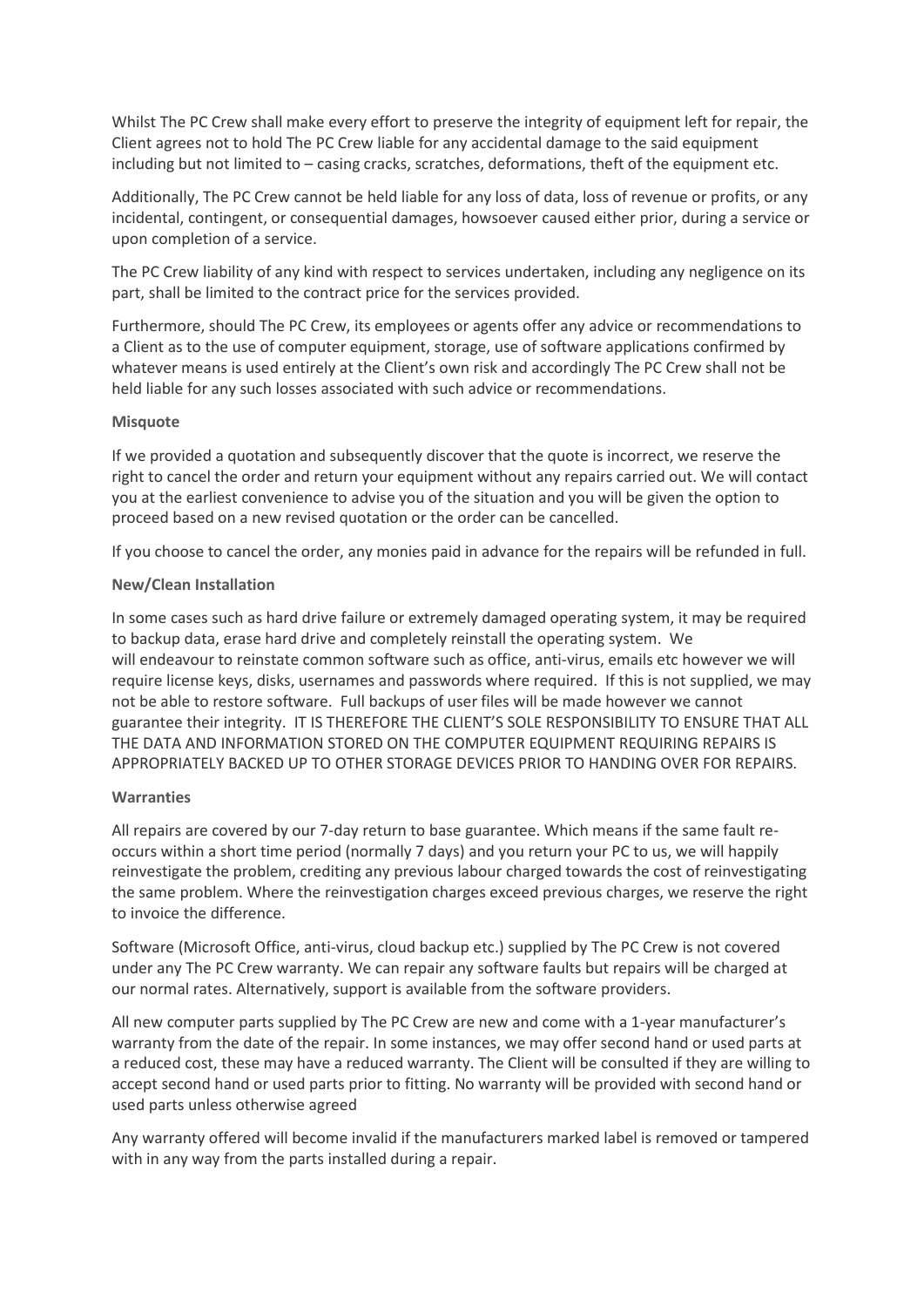Whilst The PC Crew shall make every effort to preserve the integrity of equipment left for repair, the Client agrees not to hold The PC Crew liable for any accidental damage to the said equipment including but not limited to – casing cracks, scratches, deformations, theft of the equipment etc.

Additionally, The PC Crew cannot be held liable for any loss of data, loss of revenue or profits, or any incidental, contingent, or consequential damages, howsoever caused either prior, during a service or upon completion of a service.

The PC Crew liability of any kind with respect to services undertaken, including any negligence on its part, shall be limited to the contract price for the services provided.

Furthermore, should The PC Crew, its employees or agents offer any advice or recommendations to a Client as to the use of computer equipment, storage, use of software applications confirmed by whatever means is used entirely at the Client's own risk and accordingly The PC Crew shall not be held liable for any such losses associated with such advice or recommendations.

# **Misquote**

If we provided a quotation and subsequently discover that the quote is incorrect, we reserve the right to cancel the order and return your equipment without any repairs carried out. We will contact you at the earliest convenience to advise you of the situation and you will be given the option to proceed based on a new revised quotation or the order can be cancelled.

If you choose to cancel the order, any monies paid in advance for the repairs will be refunded in full.

# **New/Clean Installation**

In some cases such as hard drive failure or extremely damaged operating system, it may be required to backup data, erase hard drive and completely reinstall the operating system. We will endeavour to reinstate common software such as office, anti-virus, emails etc however we will require license keys, disks, usernames and passwords where required. If this is not supplied, we may not be able to restore software. Full backups of user files will be made however we cannot guarantee their integrity. IT IS THEREFORE THE CLIENT'S SOLE RESPONSIBILITY TO ENSURE THAT ALL THE DATA AND INFORMATION STORED ON THE COMPUTER EQUIPMENT REQUIRING REPAIRS IS APPROPRIATELY BACKED UP TO OTHER STORAGE DEVICES PRIOR TO HANDING OVER FOR REPAIRS.

# **Warranties**

All repairs are covered by our 7-day return to base guarantee. Which means if the same fault reoccurs within a short time period (normally 7 days) and you return your PC to us, we will happily reinvestigate the problem, crediting any previous labour charged towards the cost of reinvestigating the same problem. Where the reinvestigation charges exceed previous charges, we reserve the right to invoice the difference.

Software (Microsoft Office, anti-virus, cloud backup etc.) supplied by The PC Crew is not covered under any The PC Crew warranty. We can repair any software faults but repairs will be charged at our normal rates. Alternatively, support is available from the software providers.

All new computer parts supplied by The PC Crew are new and come with a 1-year manufacturer's warranty from the date of the repair. In some instances, we may offer second hand or used parts at a reduced cost, these may have a reduced warranty. The Client will be consulted if they are willing to accept second hand or used parts prior to fitting. No warranty will be provided with second hand or used parts unless otherwise agreed

Any warranty offered will become invalid if the manufacturers marked label is removed or tampered with in any way from the parts installed during a repair.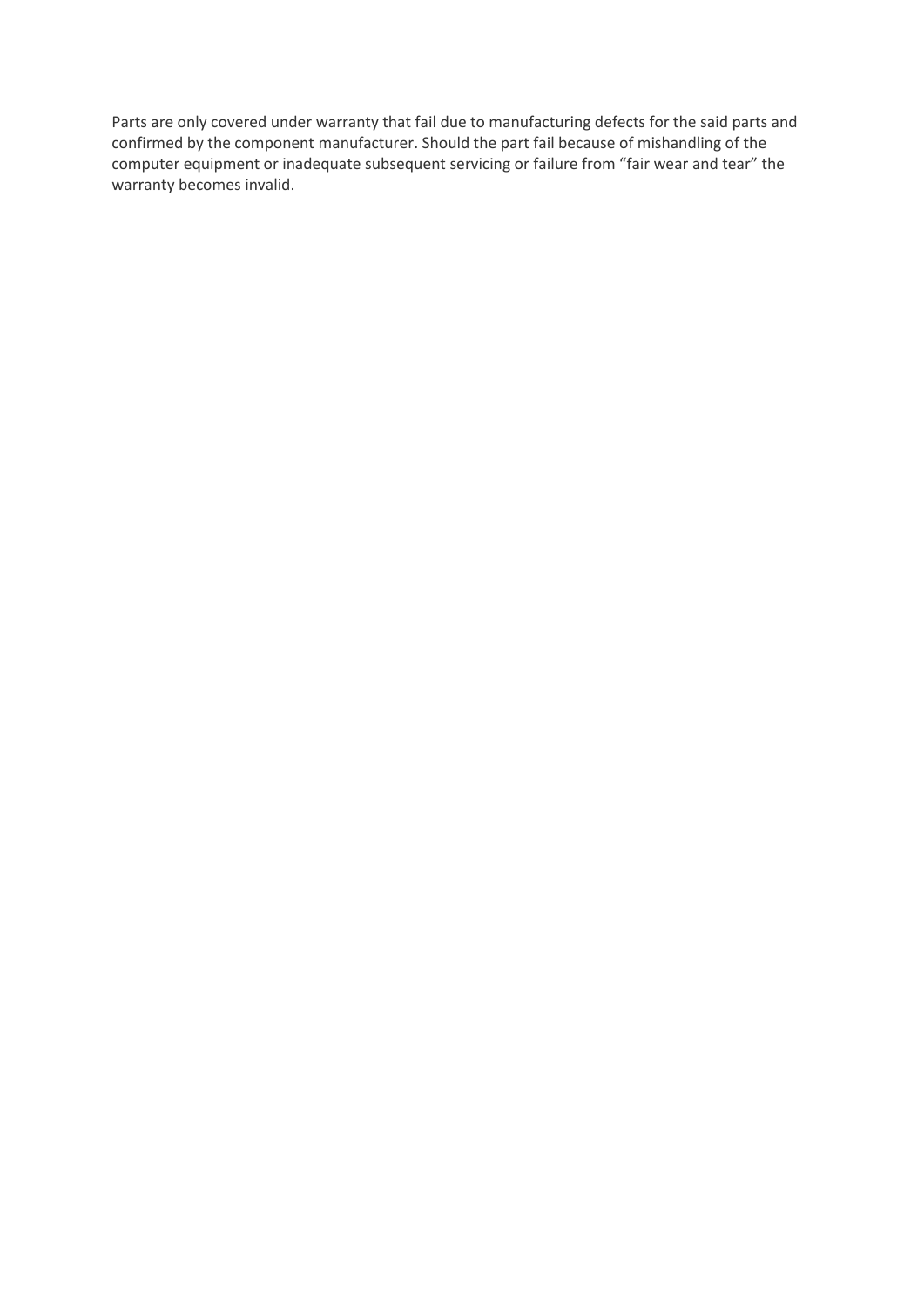Parts are only covered under warranty that fail due to manufacturing defects for the said parts and confirmed by the component manufacturer. Should the part fail because of mishandling of the computer equipment or inadequate subsequent servicing or failure from "fair wear and tear" the warranty becomes invalid.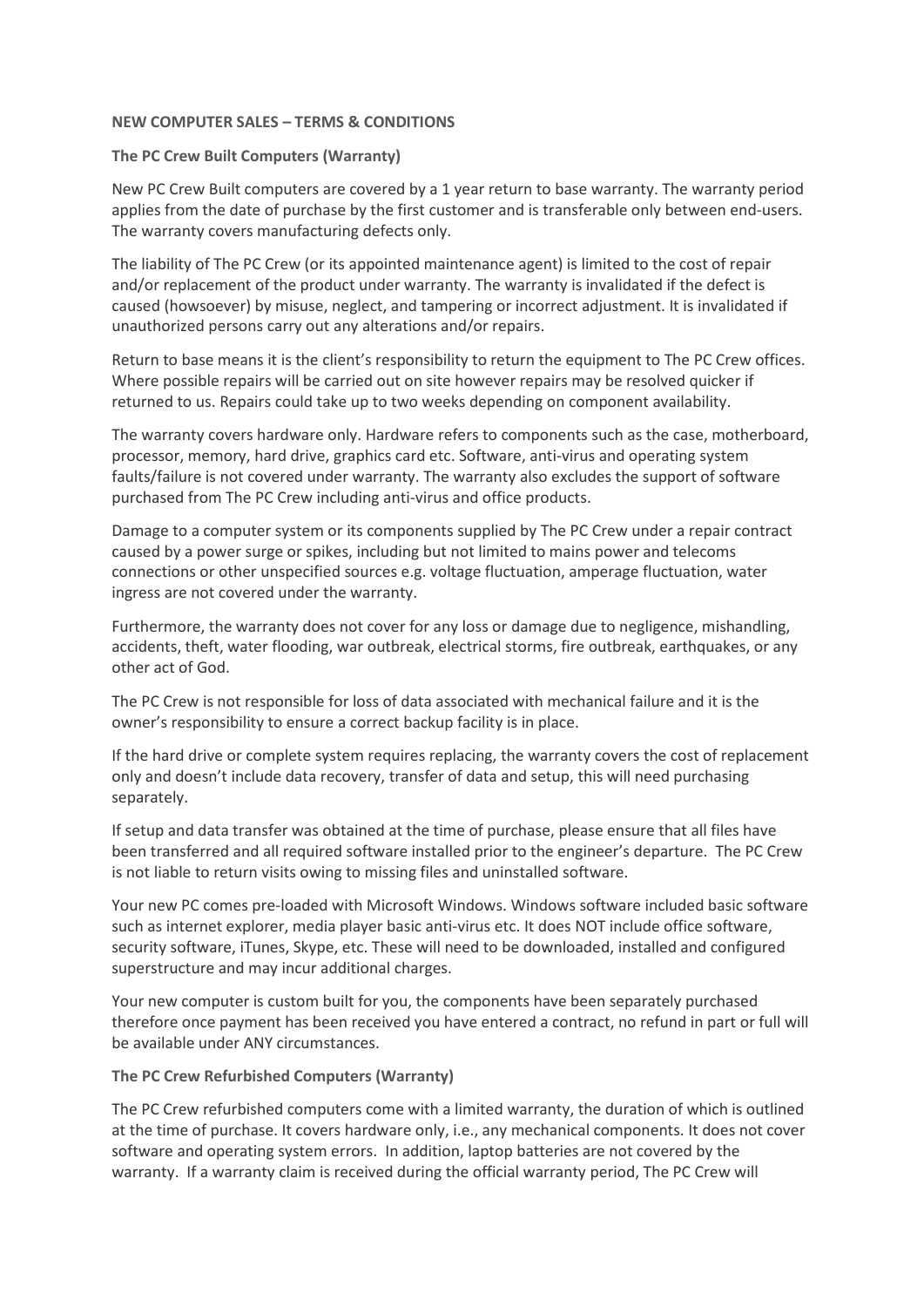## **NEW COMPUTER SALES – TERMS & CONDITIONS**

## **The PC Crew Built Computers (Warranty)**

New PC Crew Built computers are covered by a 1 year return to base warranty. The warranty period applies from the date of purchase by the first customer and is transferable only between end-users. The warranty covers manufacturing defects only.

The liability of The PC Crew (or its appointed maintenance agent) is limited to the cost of repair and/or replacement of the product under warranty. The warranty is invalidated if the defect is caused (howsoever) by misuse, neglect, and tampering or incorrect adjustment. It is invalidated if unauthorized persons carry out any alterations and/or repairs.

Return to base means it is the client's responsibility to return the equipment to The PC Crew offices. Where possible repairs will be carried out on site however repairs may be resolved quicker if returned to us. Repairs could take up to two weeks depending on component availability.

The warranty covers hardware only. Hardware refers to components such as the case, motherboard, processor, memory, hard drive, graphics card etc. Software, anti-virus and operating system faults/failure is not covered under warranty. The warranty also excludes the support of software purchased from The PC Crew including anti-virus and office products.

Damage to a computer system or its components supplied by The PC Crew under a repair contract caused by a power surge or spikes, including but not limited to mains power and telecoms connections or other unspecified sources e.g. voltage fluctuation, amperage fluctuation, water ingress are not covered under the warranty.

Furthermore, the warranty does not cover for any loss or damage due to negligence, mishandling, accidents, theft, water flooding, war outbreak, electrical storms, fire outbreak, earthquakes, or any other act of God.

The PC Crew is not responsible for loss of data associated with mechanical failure and it is the owner's responsibility to ensure a correct backup facility is in place.

If the hard drive or complete system requires replacing, the warranty covers the cost of replacement only and doesn't include data recovery, transfer of data and setup, this will need purchasing separately.

If setup and data transfer was obtained at the time of purchase, please ensure that all files have been transferred and all required software installed prior to the engineer's departure. The PC Crew is not liable to return visits owing to missing files and uninstalled software.

Your new PC comes pre-loaded with Microsoft Windows. Windows software included basic software such as internet explorer, media player basic anti-virus etc. It does NOT include office software, security software, iTunes, Skype, etc. These will need to be downloaded, installed and configured superstructure and may incur additional charges.

Your new computer is custom built for you, the components have been separately purchased therefore once payment has been received you have entered a contract, no refund in part or full will be available under ANY circumstances.

# **The PC Crew Refurbished Computers (Warranty)**

The PC Crew refurbished computers come with a limited warranty, the duration of which is outlined at the time of purchase. It covers hardware only, i.e., any mechanical components. It does not cover software and operating system errors. In addition, laptop batteries are not covered by the warranty. If a warranty claim is received during the official warranty period, The PC Crew will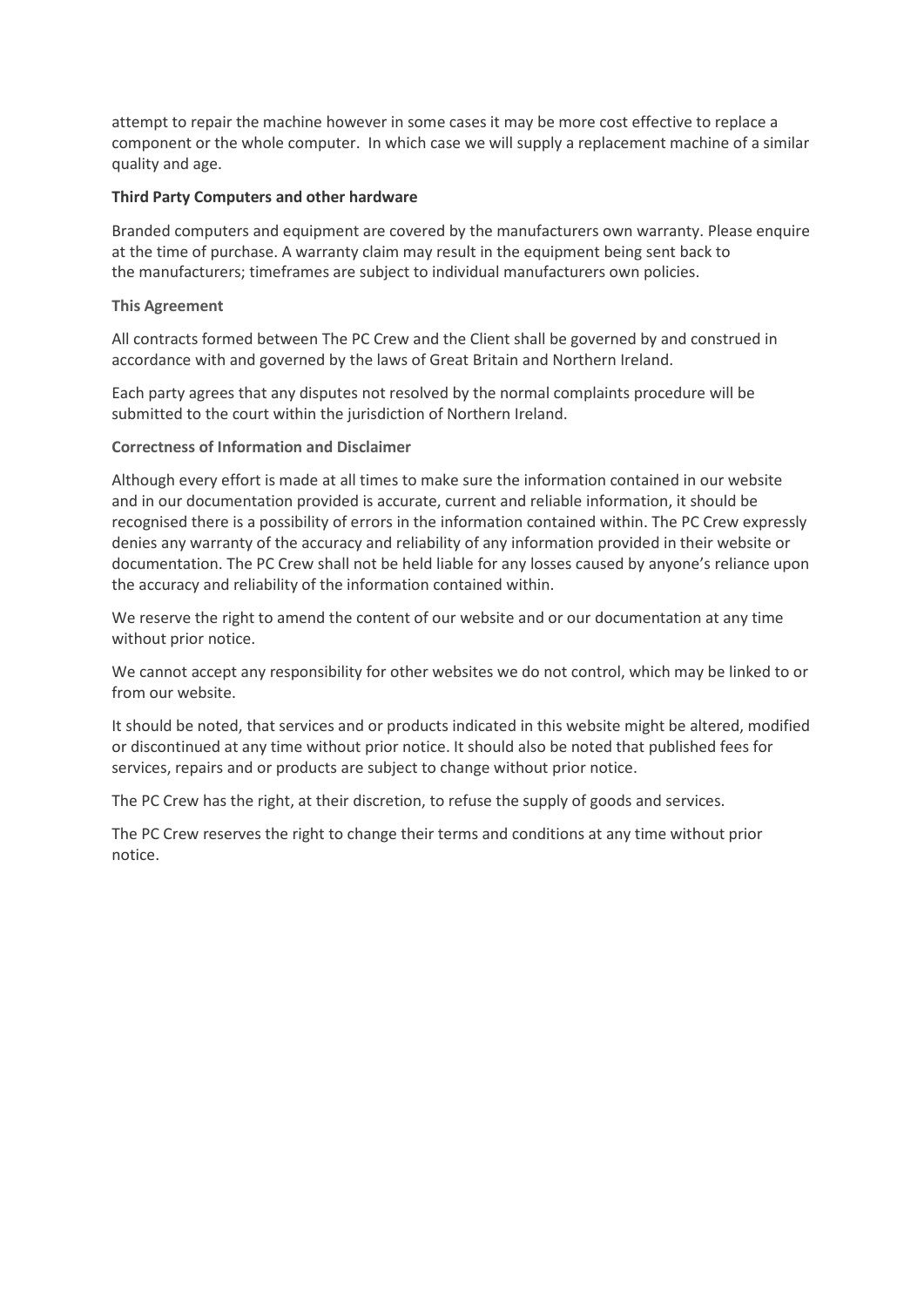attempt to repair the machine however in some cases it may be more cost effective to replace a component or the whole computer. In which case we will supply a replacement machine of a similar quality and age.

## **Third Party Computers and other hardware**

Branded computers and equipment are covered by the manufacturers own warranty. Please enquire at the time of purchase. A warranty claim may result in the equipment being sent back to the manufacturers; timeframes are subject to individual manufacturers own policies.

## **This Agreement**

All contracts formed between The PC Crew and the Client shall be governed by and construed in accordance with and governed by the laws of Great Britain and Northern Ireland.

Each party agrees that any disputes not resolved by the normal complaints procedure will be submitted to the court within the jurisdiction of Northern Ireland.

#### **Correctness of Information and Disclaimer**

Although every effort is made at all times to make sure the information contained in our website and in our documentation provided is accurate, current and reliable information, it should be recognised there is a possibility of errors in the information contained within. The PC Crew expressly denies any warranty of the accuracy and reliability of any information provided in their website or documentation. The PC Crew shall not be held liable for any losses caused by anyone's reliance upon the accuracy and reliability of the information contained within.

We reserve the right to amend the content of our website and or our documentation at any time without prior notice.

We cannot accept any responsibility for other websites we do not control, which may be linked to or from our website.

It should be noted, that services and or products indicated in this website might be altered, modified or discontinued at any time without prior notice. It should also be noted that published fees for services, repairs and or products are subject to change without prior notice.

The PC Crew has the right, at their discretion, to refuse the supply of goods and services.

The PC Crew reserves the right to change their terms and conditions at any time without prior notice.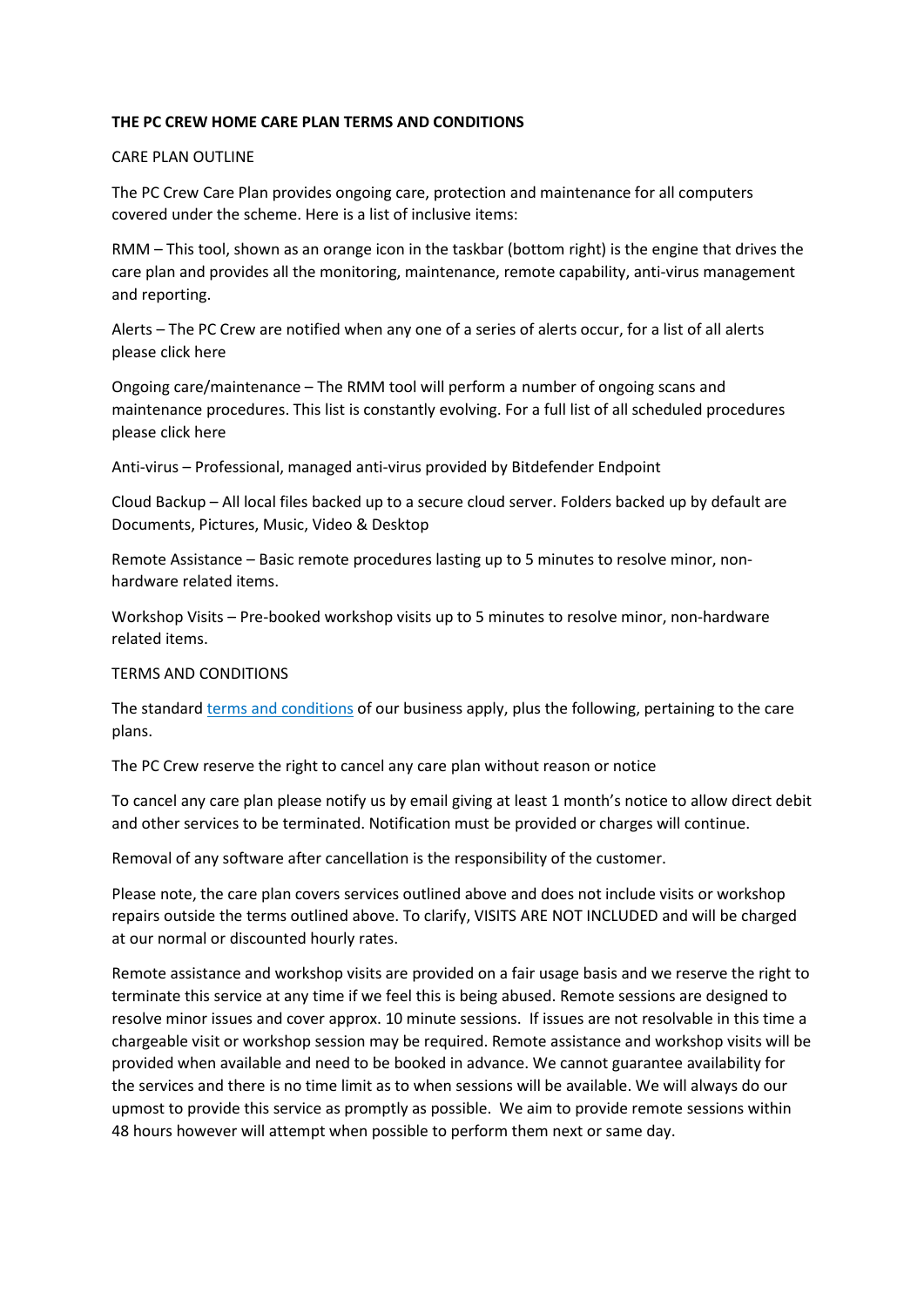# **THE PC CREW HOME CARE PLAN TERMS AND CONDITIONS**

# CARE PLAN OUTLINE

The PC Crew Care Plan provides ongoing care, protection and maintenance for all computers covered under the scheme. Here is a list of inclusive items:

RMM – This tool, shown as an orange icon in the taskbar (bottom right) is the engine that drives the care plan and provides all the monitoring, maintenance, remote capability, anti-virus management and reporting.

Alerts – The PC Crew are notified when any one of a series of alerts occur, for a list of all alerts please click here

Ongoing care/maintenance – The RMM tool will perform a number of ongoing scans and maintenance procedures. This list is constantly evolving. For a full list of all scheduled procedures please click here

Anti-virus – Professional, managed anti-virus provided by Bitdefender Endpoint

Cloud Backup – All local files backed up to a secure cloud server. Folders backed up by default are Documents, Pictures, Music, Video & Desktop

Remote Assistance – Basic remote procedures lasting up to 5 minutes to resolve minor, nonhardware related items.

Workshop Visits – Pre-booked workshop visits up to 5 minutes to resolve minor, non-hardware related items.

# TERMS AND CONDITIONS

The standard terms and conditions of our business apply, plus the following, pertaining to the care plans.

The PC Crew reserve the right to cancel any care plan without reason or notice

To cancel any care plan please notify us by email giving at least 1 month's notice to allow direct debit and other services to be terminated. Notification must be provided or charges will continue.

Removal of any software after cancellation is the responsibility of the customer.

Please note, the care plan covers services outlined above and does not include visits or workshop repairs outside the terms outlined above. To clarify, VISITS ARE NOT INCLUDED and will be charged at our normal or discounted hourly rates.

Remote assistance and workshop visits are provided on a fair usage basis and we reserve the right to terminate this service at any time if we feel this is being abused. Remote sessions are designed to resolve minor issues and cover approx. 10 minute sessions. If issues are not resolvable in this time a chargeable visit or workshop session may be required. Remote assistance and workshop visits will be provided when available and need to be booked in advance. We cannot guarantee availability for the services and there is no time limit as to when sessions will be available. We will always do our upmost to provide this service as promptly as possible. We aim to provide remote sessions within 48 hours however will attempt when possible to perform them next or same day.